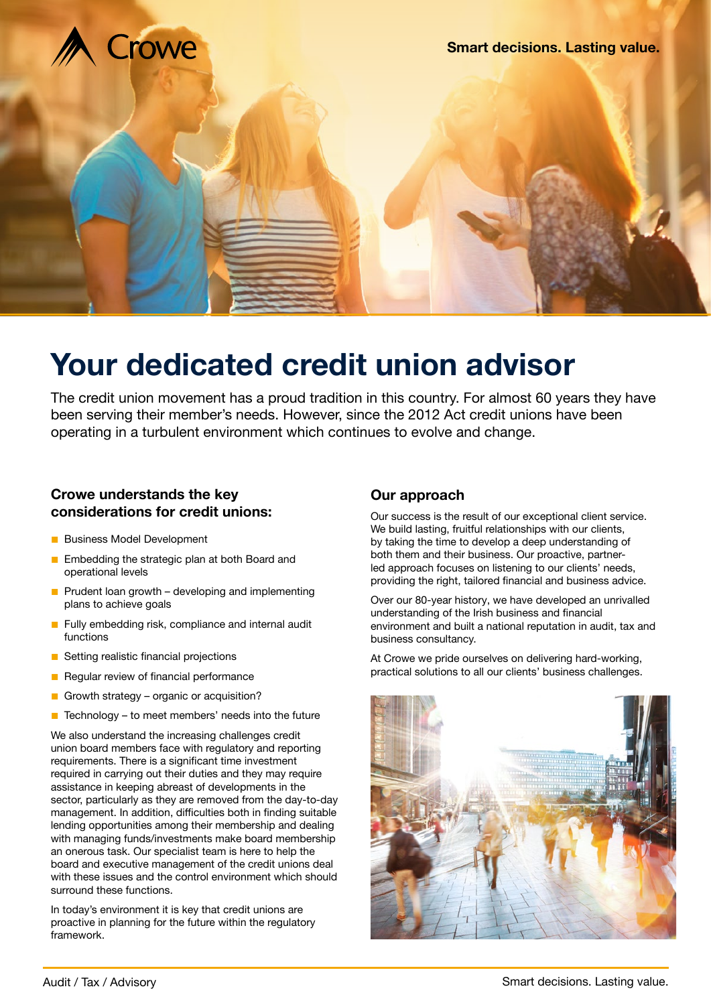

# **Your dedicated credit union advisor**

The credit union movement has a proud tradition in this country. For almost 60 years they have been serving their member's needs. However, since the 2012 Act credit unions have been operating in a turbulent environment which continues to evolve and change.

# **Crowe understands the key considerations for credit unions:**

- Business Model Development
- Embedding the strategic plan at both Board and operational levels
- $\blacksquare$  Prudent loan growth developing and implementing plans to achieve goals
- Fully embedding risk, compliance and internal audit functions
- Setting realistic financial projections
- Regular review of financial performance
- Growth strategy organic or acquisition?
- Technology  $-$  to meet members' needs into the future

We also understand the increasing challenges credit union board members face with regulatory and reporting requirements. There is a significant time investment required in carrying out their duties and they may require assistance in keeping abreast of developments in the sector, particularly as they are removed from the day-to-day management. In addition, difficulties both in finding suitable lending opportunities among their membership and dealing with managing funds/investments make board membership an onerous task. Our specialist team is here to help the board and executive management of the credit unions deal with these issues and the control environment which should surround these functions.

In today's environment it is key that credit unions are proactive in planning for the future within the regulatory framework.

# **Our approach**

Our success is the result of our exceptional client service. We build lasting, fruitful relationships with our clients, by taking the time to develop a deep understanding of both them and their business. Our proactive, partnerled approach focuses on listening to our clients' needs, providing the right, tailored financial and business advice.

Over our 80-year history, we have developed an unrivalled understanding of the Irish business and financial environment and built a national reputation in audit, tax and business consultancy.

At Crowe we pride ourselves on delivering hard-working, practical solutions to all our clients' business challenges.

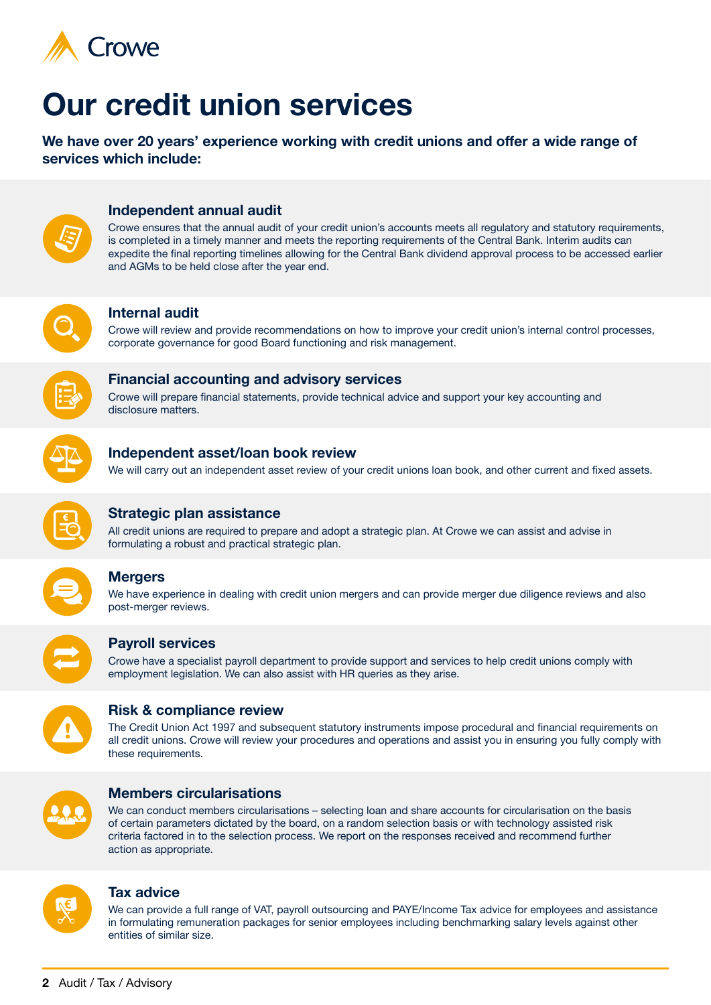

# **Our credit union services**

**We have over 20 years' experience working with credit unions and offer a wide range of services which include:**



## **Independent annual audit**

Crowe ensures that the annual audit of your credit union's accounts meets all regulatory and statutory requirements, is completed in a timely manner and meets the reporting requirements of the Central Bank. Interim audits can expedite the final reporting timelines allowing for the Central Bank dividend approval process to be accessed earlier and AGMs to be held close after the year end.



## **Internal audit**

Crowe will review and provide recommendations on how to improve your credit union's internal control processes, corporate governance for good Board functioning and risk management.



# **Financial accounting and advisory services**

Crowe will prepare financial statements, provide technical advice and support your key accounting and disclosure matters.



## **Independent asset/loan book review**

We will carry out an independent asset review of your credit unions loan book, and other current and fixed assets.



## **Strategic plan assistance**

All credit unions are required to prepare and adopt a strategic plan. At Crowe we can assist and advise in formulating a robust and practical strategic plan.



# **Mergers**

We have experience in dealing with credit union mergers and can provide merger due diligence reviews and also post-merger reviews.



## **Payroll services**

Crowe have a specialist payroll department to provide support and services to help credit unions comply with employment legislation. We can also assist with HR queries as they arise.



## **Risk & compliance review**

The Credit Union Act 1997 and subsequent statutory instruments impose procedural and financial requirements on all credit unions. Crowe will review your procedures and operations and assist you in ensuring you fully comply with these requirements.



## **Members circularisations**

We can conduct members circularisations – selecting loan and share accounts for circularisation on the basis of certain parameters dictated by the board, on a random selection basis or with technology assisted risk criteria factored in to the selection process. We report on the responses received and recommend further action as appropriate.



## **Tax advice**

We can provide a full range of VAT, payroll outsourcing and PAYE/Income Tax advice for employees and assistance in formulating remuneration packages for senior employees including benchmarking salary levels against other entities of similar size.